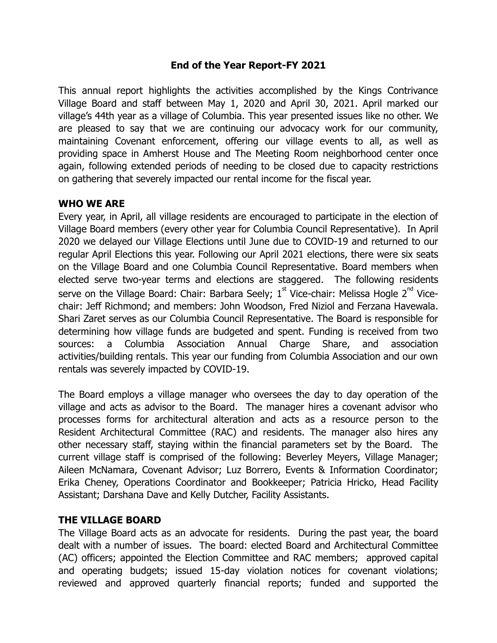### **End of the Year Report-FY 2021**

This annual report highlights the activities accomplished by the Kings Contrivance Village Board and staff between May 1, 2020 and April 30, 2021. April marked our village's 44th year as a village of Columbia. This year presented issues like no other. We are pleased to say that we are continuing our advocacy work for our community, maintaining Covenant enforcement, offering our village events to all, as well as providing space in Amherst House and The Meeting Room neighborhood center once again, following extended periods of needing to be closed due to capacity restrictions on gathering that severely impacted our rental income for the fiscal year.

### **WHO WE ARE**

Every year, in April, all village residents are encouraged to participate in the election of Village Board members (every other year for Columbia Council Representative). In April 2020 we delayed our Village Elections until June due to COVID-19 and returned to our regular April Elections this year. Following our April 2021 elections, there were six seats on the Village Board and one Columbia Council Representative. Board members when elected serve two-year terms and elections are staggered. The following residents serve on the Village Board: Chair: Barbara Seely;  $1^\text{st}$  Vice-chair: Melissa Hogle 2 $^\text{nd}$  Vicechair: Jeff Richmond; and members: John Woodson, Fred Niziol and Ferzana Havewala. Shari Zaret serves as our Columbia Council Representative. The Board is responsible for determining how village funds are budgeted and spent. Funding is received from two sources: a Columbia Association Annual Charge Share, and association activities/building rentals. This year our funding from Columbia Association and our own rentals was severely impacted by COVID-19.

The Board employs a village manager who oversees the day to day operation of the village and acts as advisor to the Board. The manager hires a covenant advisor who processes forms for architectural alteration and acts as a resource person to the Resident Architectural Committee (RAC) and residents. The manager also hires any other necessary staff, staying within the financial parameters set by the Board. The current village staff is comprised of the following: Beverley Meyers, Village Manager; Aileen McNamara, Covenant Advisor; Luz Borrero, Events & Information Coordinator; Erika Cheney, Operations Coordinator and Bookkeeper; Patricia Hricko, Head Facility Assistant; Darshana Dave and Kelly Dutcher, Facility Assistants.

### **THE VILLAGE BOARD**

The Village Board acts as an advocate for residents. During the past year, the board dealt with a number of issues. The board: elected Board and Architectural Committee (AC) officers; appointed the Election Committee and RAC members; approved capital and operating budgets; issued 15-day violation notices for covenant violations; reviewed and approved quarterly financial reports; funded and supported the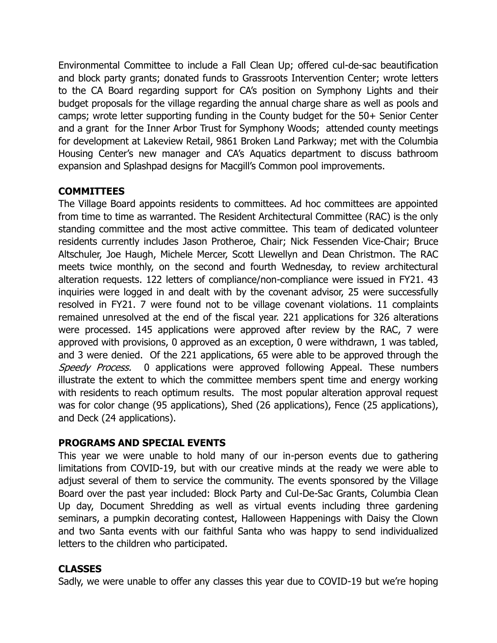Environmental Committee to include a Fall Clean Up; offered cul-de-sac beautification and block party grants; donated funds to Grassroots Intervention Center; wrote letters to the CA Board regarding support for CA's position on Symphony Lights and their budget proposals for the village regarding the annual charge share as well as pools and camps; wrote letter supporting funding in the County budget for the 50+ Senior Center and a grant for the Inner Arbor Trust for Symphony Woods; attended county meetings for development at Lakeview Retail, 9861 Broken Land Parkway; met with the Columbia Housing Center's new manager and CA's Aquatics department to discuss bathroom expansion and Splashpad designs for Macgill's Common pool improvements.

## **COMMITTEES**

The Village Board appoints residents to committees. Ad hoc committees are appointed from time to time as warranted. The Resident Architectural Committee (RAC) is the only standing committee and the most active committee. This team of dedicated volunteer residents currently includes Jason Protheroe, Chair; Nick Fessenden Vice-Chair; Bruce Altschuler, Joe Haugh, Michele Mercer, Scott Llewellyn and Dean Christmon. The RAC meets twice monthly, on the second and fourth Wednesday, to review architectural alteration requests. 122 letters of compliance/non-compliance were issued in FY21. 43 inquiries were logged in and dealt with by the covenant advisor, 25 were successfully resolved in FY21. 7 were found not to be village covenant violations. 11 complaints remained unresolved at the end of the fiscal year. 221 applications for 326 alterations were processed. 145 applications were approved after review by the RAC, 7 were approved with provisions, 0 approved as an exception, 0 were withdrawn, 1 was tabled, and 3 were denied. Of the 221 applications, 65 were able to be approved through the Speedy Process. 0 applications were approved following Appeal. These numbers illustrate the extent to which the committee members spent time and energy working with residents to reach optimum results. The most popular alteration approval request was for color change (95 applications), Shed (26 applications), Fence (25 applications), and Deck (24 applications).

### **PROGRAMS AND SPECIAL EVENTS**

This year we were unable to hold many of our in-person events due to gathering limitations from COVID-19, but with our creative minds at the ready we were able to adjust several of them to service the community. The events sponsored by the Village Board over the past year included: Block Party and Cul-De-Sac Grants, Columbia Clean Up day, Document Shredding as well as virtual events including three gardening seminars, a pumpkin decorating contest, Halloween Happenings with Daisy the Clown and two Santa events with our faithful Santa who was happy to send individualized letters to the children who participated.

# **CLASSES**

Sadly, we were unable to offer any classes this year due to COVID-19 but we're hoping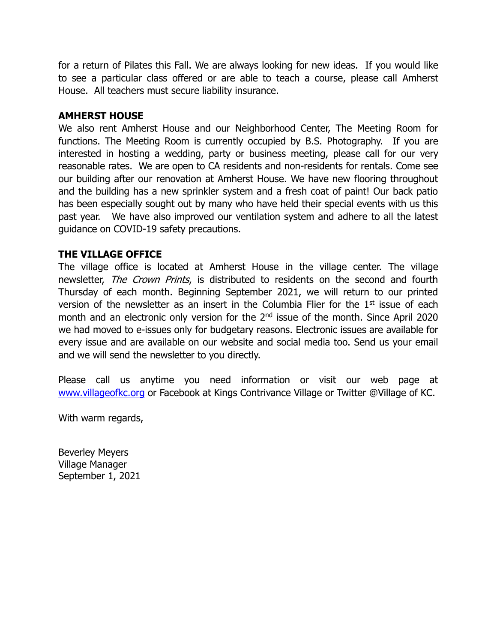for a return of Pilates this Fall. We are always looking for new ideas. If you would like to see a particular class offered or are able to teach a course, please call Amherst House. All teachers must secure liability insurance.

#### **AMHERST HOUSE**

We also rent Amherst House and our Neighborhood Center, The Meeting Room for functions. The Meeting Room is currently occupied by B.S. Photography. If you are interested in hosting a wedding, party or business meeting, please call for our very reasonable rates. We are open to CA residents and non-residents for rentals. Come see our building after our renovation at Amherst House. We have new flooring throughout and the building has a new sprinkler system and a fresh coat of paint! Our back patio has been especially sought out by many who have held their special events with us this past year. We have also improved our ventilation system and adhere to all the latest guidance on COVID-19 safety precautions.

#### **THE VILLAGE OFFICE**

The village office is located at Amherst House in the village center. The village newsletter, *The Crown Prints*, is distributed to residents on the second and fourth Thursday of each month. Beginning September 2021, we will return to our printed version of the newsletter as an insert in the Columbia Flier for the  $1<sup>st</sup>$  issue of each month and an electronic only version for the 2<sup>nd</sup> issue of the month. Since April 2020 we had moved to e-issues only for budgetary reasons. Electronic issues are available for every issue and are available on our website and social media too. Send us your email and we will send the newsletter to you directly.

Please call us anytime you need information or visit our web page at [www.villageofkc.org](http://www.villageofkc.org/) or Facebook at Kings Contrivance Village or Twitter @Village of KC.

With warm regards,

Beverley Meyers Village Manager September 1, 2021